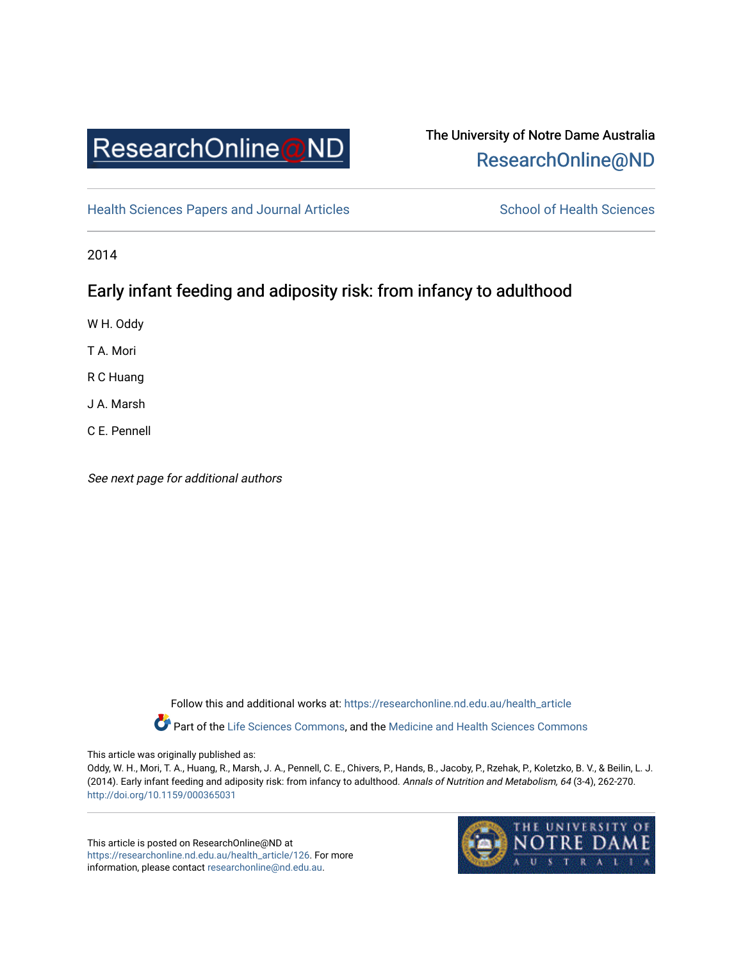

# The University of Notre Dame Australia [ResearchOnline@ND](https://researchonline.nd.edu.au/)

[Health Sciences Papers and Journal Articles](https://researchonline.nd.edu.au/health_article) School of Health Sciences

2014

# Early infant feeding and adiposity risk: from infancy to adulthood

W H. Oddy

T A. Mori

R C Huang

J A. Marsh

C E. Pennell

See next page for additional authors

Follow this and additional works at: [https://researchonline.nd.edu.au/health\\_article](https://researchonline.nd.edu.au/health_article?utm_source=researchonline.nd.edu.au%2Fhealth_article%2F126&utm_medium=PDF&utm_campaign=PDFCoverPages) Part of the [Life Sciences Commons](http://network.bepress.com/hgg/discipline/1016?utm_source=researchonline.nd.edu.au%2Fhealth_article%2F126&utm_medium=PDF&utm_campaign=PDFCoverPages), and the Medicine and Health Sciences Commons

This article was originally published as:

Oddy, W. H., Mori, T. A., Huang, R., Marsh, J. A., Pennell, C. E., Chivers, P., Hands, B., Jacoby, P., Rzehak, P., Koletzko, B. V., & Beilin, L. J. (2014). Early infant feeding and adiposity risk: from infancy to adulthood. Annals of Nutrition and Metabolism, 64 (3-4), 262-270. <http://doi.org/10.1159/000365031>

This article is posted on ResearchOnline@ND at [https://researchonline.nd.edu.au/health\\_article/126](https://researchonline.nd.edu.au/health_article/126). For more information, please contact [researchonline@nd.edu.au.](mailto:researchonline@nd.edu.au)

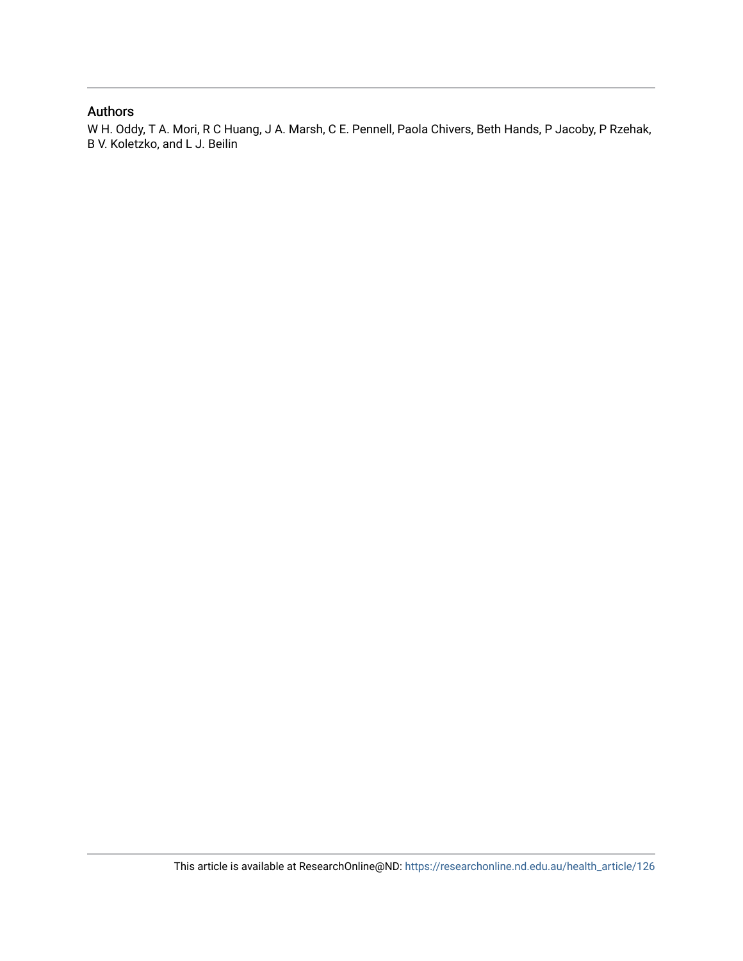#### Authors

W H. Oddy, T A. Mori, R C Huang, J A. Marsh, C E. Pennell, Paola Chivers, Beth Hands, P Jacoby, P Rzehak, B V. Koletzko, and L J. Beilin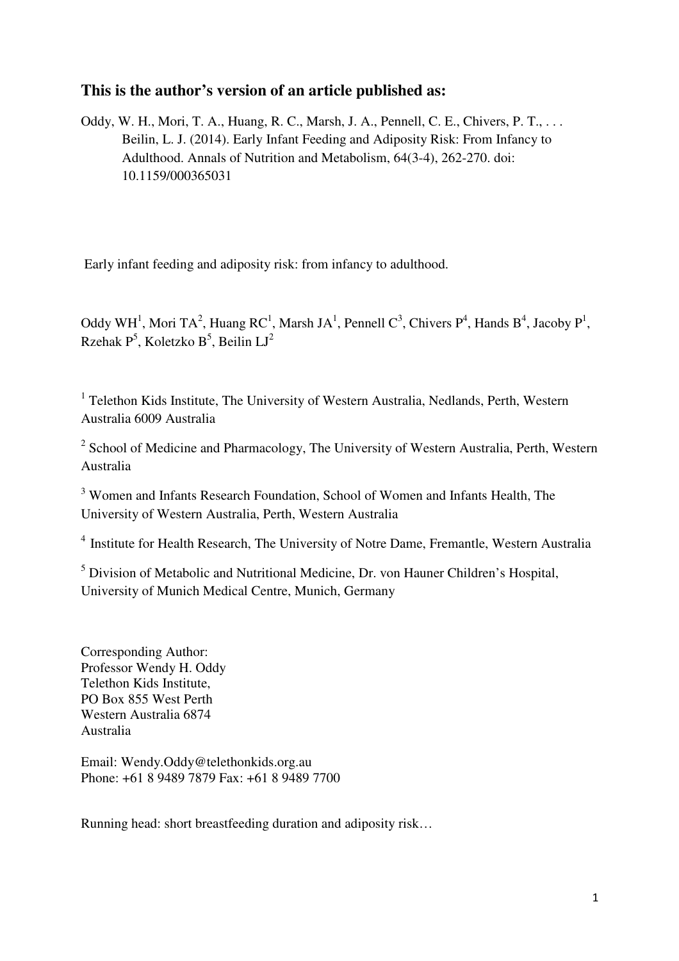# **This is the author's version of an article published as:**

Oddy, W. H., Mori, T. A., Huang, R. C., Marsh, J. A., Pennell, C. E., Chivers, P. T., ... Beilin, L. J. (2014). Early Infant Feeding and Adiposity Risk: From Infancy to Adulthood. Annals of Nutrition and Metabolism, 64(3-4), 262-270. doi: 10.1159/000365031

Early infant feeding and adiposity risk: from infancy to adulthood.

Oddy WH<sup>1</sup>, Mori TA<sup>2</sup>, Huang RC<sup>1</sup>, Marsh JA<sup>1</sup>, Pennell C<sup>3</sup>, Chivers P<sup>4</sup>, Hands B<sup>4</sup>, Jacoby P<sup>1</sup>, Rzehak P $^5$ , Koletzko B $^5$ , Beilin LJ $^2$ 

<sup>1</sup> Telethon Kids Institute, The University of Western Australia, Nedlands, Perth, Western Australia 6009 Australia

<sup>2</sup> School of Medicine and Pharmacology, The University of Western Australia, Perth, Western Australia

<sup>3</sup> Women and Infants Research Foundation, School of Women and Infants Health, The University of Western Australia, Perth, Western Australia

<sup>4</sup> Institute for Health Research, The University of Notre Dame, Fremantle, Western Australia

<sup>5</sup> Division of Metabolic and Nutritional Medicine, Dr. von Hauner Children's Hospital, University of Munich Medical Centre, Munich, Germany

Corresponding Author: Professor Wendy H. Oddy Telethon Kids Institute, PO Box 855 West Perth Western Australia 6874 Australia

Email: Wendy.Oddy@telethonkids.org.au Phone: +61 8 9489 7879 Fax: +61 8 9489 7700

Running head: short breastfeeding duration and adiposity risk…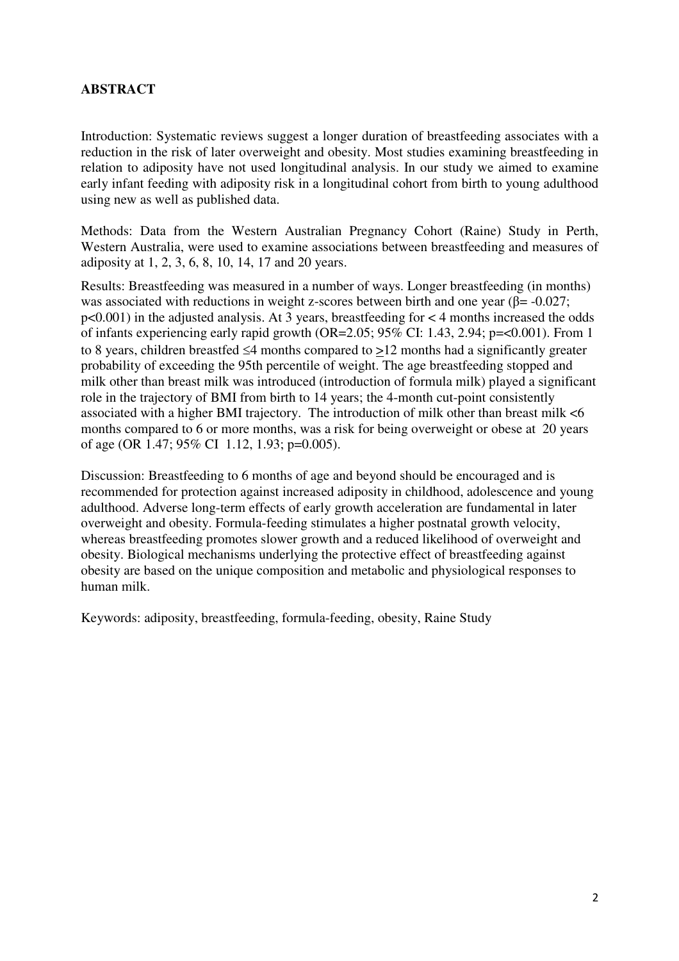## **ABSTRACT**

Introduction: Systematic reviews suggest a longer duration of breastfeeding associates with a reduction in the risk of later overweight and obesity. Most studies examining breastfeeding in relation to adiposity have not used longitudinal analysis. In our study we aimed to examine early infant feeding with adiposity risk in a longitudinal cohort from birth to young adulthood using new as well as published data.

Methods: Data from the Western Australian Pregnancy Cohort (Raine) Study in Perth, Western Australia, were used to examine associations between breastfeeding and measures of adiposity at 1, 2, 3, 6, 8, 10, 14, 17 and 20 years.

Results: Breastfeeding was measured in a number of ways. Longer breastfeeding (in months) was associated with reductions in weight z-scores between birth and one year ( $\beta$ = -0.027; p<0.001) in the adjusted analysis. At 3 years, breastfeeding for < 4 months increased the odds of infants experiencing early rapid growth (OR=2.05; 95% CI: 1.43, 2.94; p=<0.001). From 1 to 8 years, children breastfed ≤4 months compared to  $\geq$ 12 months had a significantly greater probability of exceeding the 95th percentile of weight. The age breastfeeding stopped and milk other than breast milk was introduced (introduction of formula milk) played a significant role in the trajectory of BMI from birth to 14 years; the 4-month cut-point consistently associated with a higher BMI trajectory. The introduction of milk other than breast milk <6 months compared to 6 or more months, was a risk for being overweight or obese at 20 years of age (OR 1.47; 95% CI 1.12, 1.93; p=0.005).

Discussion: Breastfeeding to 6 months of age and beyond should be encouraged and is recommended for protection against increased adiposity in childhood, adolescence and young adulthood. Adverse long-term effects of early growth acceleration are fundamental in later overweight and obesity. Formula-feeding stimulates a higher postnatal growth velocity, whereas breastfeeding promotes slower growth and a reduced likelihood of overweight and obesity. Biological mechanisms underlying the protective effect of breastfeeding against obesity are based on the unique composition and metabolic and physiological responses to human milk.

Keywords: adiposity, breastfeeding, formula-feeding, obesity, Raine Study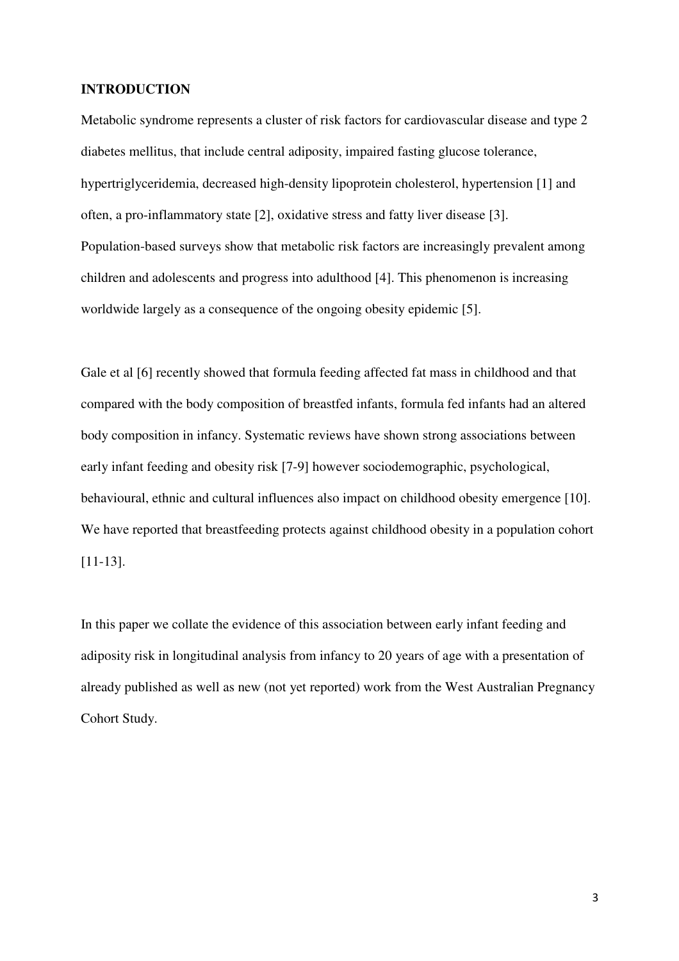#### **INTRODUCTION**

Metabolic syndrome represents a cluster of risk factors for cardiovascular disease and type 2 diabetes mellitus, that include central adiposity, impaired fasting glucose tolerance, hypertriglyceridemia, decreased high-density lipoprotein cholesterol, hypertension [1] and often, a pro-inflammatory state [2], oxidative stress and fatty liver disease [3]. Population-based surveys show that metabolic risk factors are increasingly prevalent among children and adolescents and progress into adulthood [4]. This phenomenon is increasing worldwide largely as a consequence of the ongoing obesity epidemic [5].

Gale et al [6] recently showed that formula feeding affected fat mass in childhood and that compared with the body composition of breastfed infants, formula fed infants had an altered body composition in infancy. Systematic reviews have shown strong associations between early infant feeding and obesity risk [7-9] however sociodemographic, psychological, behavioural, ethnic and cultural influences also impact on childhood obesity emergence [10]. We have reported that breastfeeding protects against childhood obesity in a population cohort [11-13].

In this paper we collate the evidence of this association between early infant feeding and adiposity risk in longitudinal analysis from infancy to 20 years of age with a presentation of already published as well as new (not yet reported) work from the West Australian Pregnancy Cohort Study.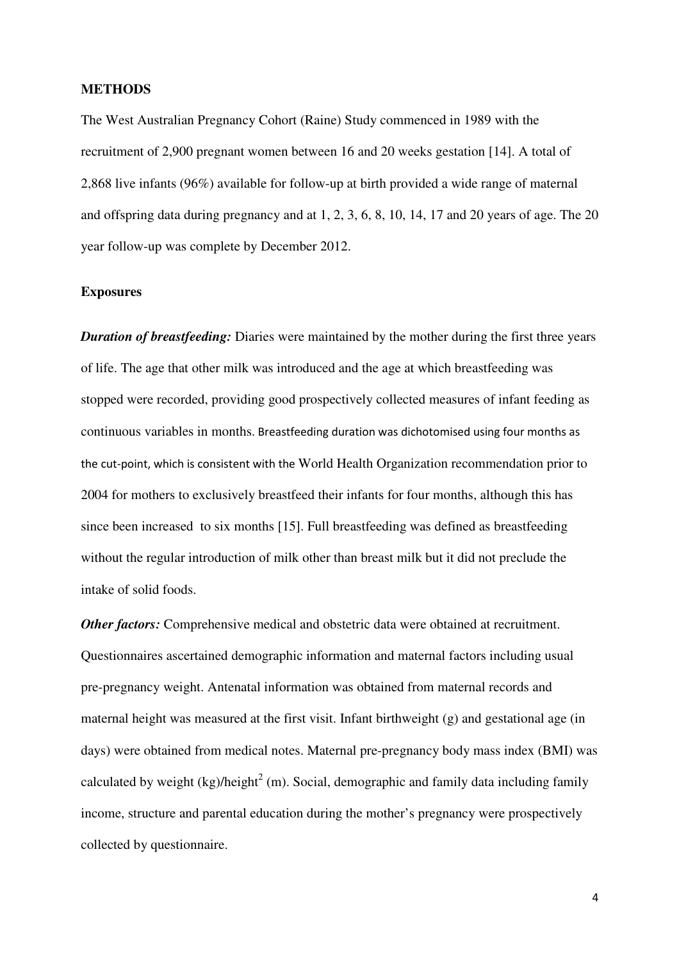#### **METHODS**

The West Australian Pregnancy Cohort (Raine) Study commenced in 1989 with the recruitment of 2,900 pregnant women between 16 and 20 weeks gestation [14]. A total of 2,868 live infants (96%) available for follow-up at birth provided a wide range of maternal and offspring data during pregnancy and at 1, 2, 3, 6, 8, 10, 14, 17 and 20 years of age. The 20 year follow-up was complete by December 2012.

#### **Exposures**

*Duration of breastfeeding:* Diaries were maintained by the mother during the first three years of life. The age that other milk was introduced and the age at which breastfeeding was stopped were recorded, providing good prospectively collected measures of infant feeding as continuous variables in months. Breastfeeding duration was dichotomised using four months as the cut-point, which is consistent with the World Health Organization recommendation prior to 2004 for mothers to exclusively breastfeed their infants for four months, although this has since been increased to six months [15]. Full breastfeeding was defined as breastfeeding without the regular introduction of milk other than breast milk but it did not preclude the intake of solid foods.

*Other factors:* Comprehensive medical and obstetric data were obtained at recruitment. Questionnaires ascertained demographic information and maternal factors including usual pre-pregnancy weight. Antenatal information was obtained from maternal records and maternal height was measured at the first visit. Infant birthweight (g) and gestational age (in days) were obtained from medical notes. Maternal pre-pregnancy body mass index (BMI) was calculated by weight (kg)/height<sup>2</sup> (m). Social, demographic and family data including family income, structure and parental education during the mother's pregnancy were prospectively collected by questionnaire.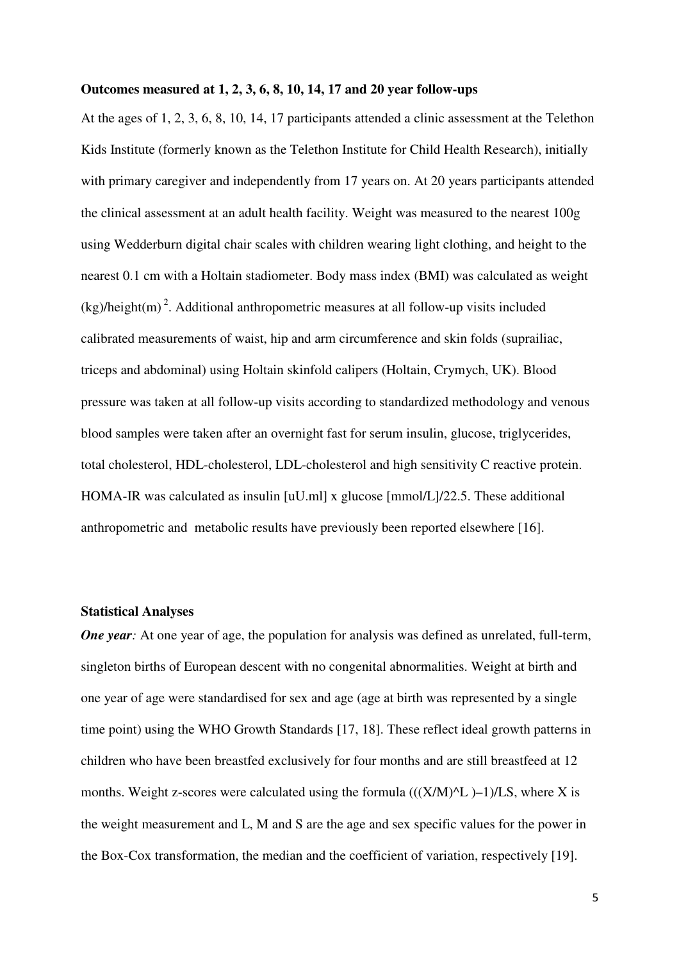#### **Outcomes measured at 1, 2, 3, 6, 8, 10, 14, 17 and 20 year follow-ups**

At the ages of 1, 2, 3, 6, 8, 10, 14, 17 participants attended a clinic assessment at the Telethon Kids Institute (formerly known as the Telethon Institute for Child Health Research), initially with primary caregiver and independently from 17 years on. At 20 years participants attended the clinical assessment at an adult health facility. Weight was measured to the nearest 100g using Wedderburn digital chair scales with children wearing light clothing, and height to the nearest 0.1 cm with a Holtain stadiometer. Body mass index (BMI) was calculated as weight  $(kg)/height(m)<sup>2</sup>$ . Additional anthropometric measures at all follow-up visits included calibrated measurements of waist, hip and arm circumference and skin folds (suprailiac, triceps and abdominal) using Holtain skinfold calipers (Holtain, Crymych, UK). Blood pressure was taken at all follow-up visits according to standardized methodology and venous blood samples were taken after an overnight fast for serum insulin, glucose, triglycerides, total cholesterol, HDL-cholesterol, LDL-cholesterol and high sensitivity C reactive protein. HOMA-IR was calculated as insulin [uU.ml] x glucose [mmol/L]/22.5. These additional anthropometric and metabolic results have previously been reported elsewhere [16].

#### **Statistical Analyses**

*One year*: At one year of age, the population for analysis was defined as unrelated, full-term, singleton births of European descent with no congenital abnormalities. Weight at birth and one year of age were standardised for sex and age (age at birth was represented by a single time point) using the WHO Growth Standards [17, 18]. These reflect ideal growth patterns in children who have been breastfed exclusively for four months and are still breastfeed at 12 months. Weight z-scores were calculated using the formula  $((X/M)^{2}L - 1)/LS$ , where X is the weight measurement and L, M and S are the age and sex specific values for the power in the Box-Cox transformation, the median and the coefficient of variation, respectively [19].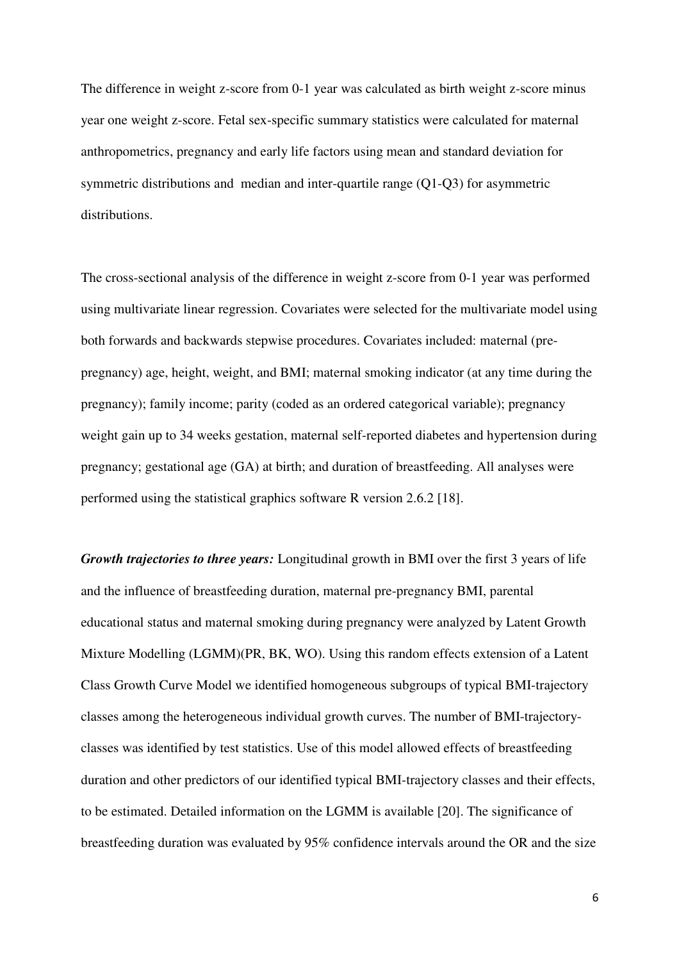The difference in weight z-score from 0-1 year was calculated as birth weight z-score minus year one weight z-score. Fetal sex-specific summary statistics were calculated for maternal anthropometrics, pregnancy and early life factors using mean and standard deviation for symmetric distributions and median and inter-quartile range (Q1-Q3) for asymmetric distributions.

The cross-sectional analysis of the difference in weight z-score from 0-1 year was performed using multivariate linear regression. Covariates were selected for the multivariate model using both forwards and backwards stepwise procedures. Covariates included: maternal (prepregnancy) age, height, weight, and BMI; maternal smoking indicator (at any time during the pregnancy); family income; parity (coded as an ordered categorical variable); pregnancy weight gain up to 34 weeks gestation, maternal self-reported diabetes and hypertension during pregnancy; gestational age (GA) at birth; and duration of breastfeeding. All analyses were performed using the statistical graphics software R version 2.6.2 [18].

*Growth trajectories to three years:* Longitudinal growth in BMI over the first 3 years of life and the influence of breastfeeding duration, maternal pre-pregnancy BMI, parental educational status and maternal smoking during pregnancy were analyzed by Latent Growth Mixture Modelling (LGMM)(PR, BK, WO). Using this random effects extension of a Latent Class Growth Curve Model we identified homogeneous subgroups of typical BMI-trajectory classes among the heterogeneous individual growth curves. The number of BMI-trajectoryclasses was identified by test statistics. Use of this model allowed effects of breastfeeding duration and other predictors of our identified typical BMI-trajectory classes and their effects, to be estimated. Detailed information on the LGMM is available [20]. The significance of breastfeeding duration was evaluated by 95% confidence intervals around the OR and the size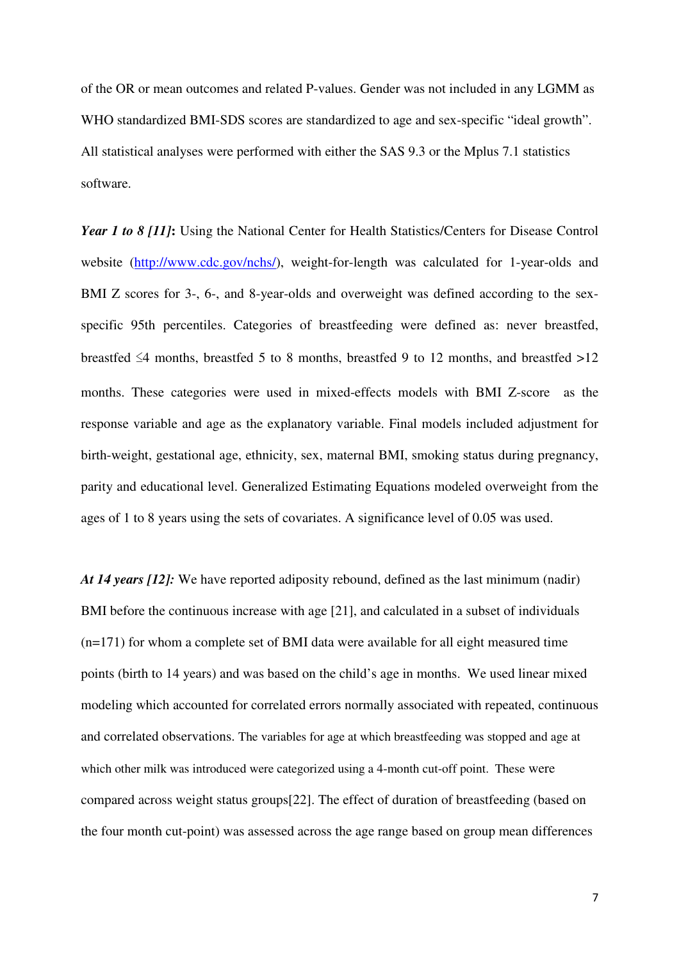of the OR or mean outcomes and related P-values. Gender was not included in any LGMM as WHO standardized BMI-SDS scores are standardized to age and sex-specific "ideal growth". All statistical analyses were performed with either the SAS 9.3 or the Mplus 7.1 statistics software.

*Year 1 to 8 [11]***:** Using the National Center for Health Statistics/Centers for Disease Control website (http://www.cdc.gov/nchs/), weight-for-length was calculated for 1-year-olds and BMI Z scores for 3-, 6-, and 8-year-olds and overweight was defined according to the sexspecific 95th percentiles. Categories of breastfeeding were defined as: never breastfed, breastfed  $\leq$ 4 months, breastfed 5 to 8 months, breastfed 9 to 12 months, and breastfed >12 months. These categories were used in mixed-effects models with BMI Z-score as the response variable and age as the explanatory variable. Final models included adjustment for birth-weight, gestational age, ethnicity, sex, maternal BMI, smoking status during pregnancy, parity and educational level. Generalized Estimating Equations modeled overweight from the ages of 1 to 8 years using the sets of covariates. A significance level of 0.05 was used.

*At 14 years [12]:* We have reported adiposity rebound, defined as the last minimum (nadir) BMI before the continuous increase with age [21], and calculated in a subset of individuals (n=171) for whom a complete set of BMI data were available for all eight measured time points (birth to 14 years) and was based on the child's age in months. We used linear mixed modeling which accounted for correlated errors normally associated with repeated, continuous and correlated observations. The variables for age at which breastfeeding was stopped and age at which other milk was introduced were categorized using a 4-month cut-off point. These were compared across weight status groups[22]. The effect of duration of breastfeeding (based on the four month cut-point) was assessed across the age range based on group mean differences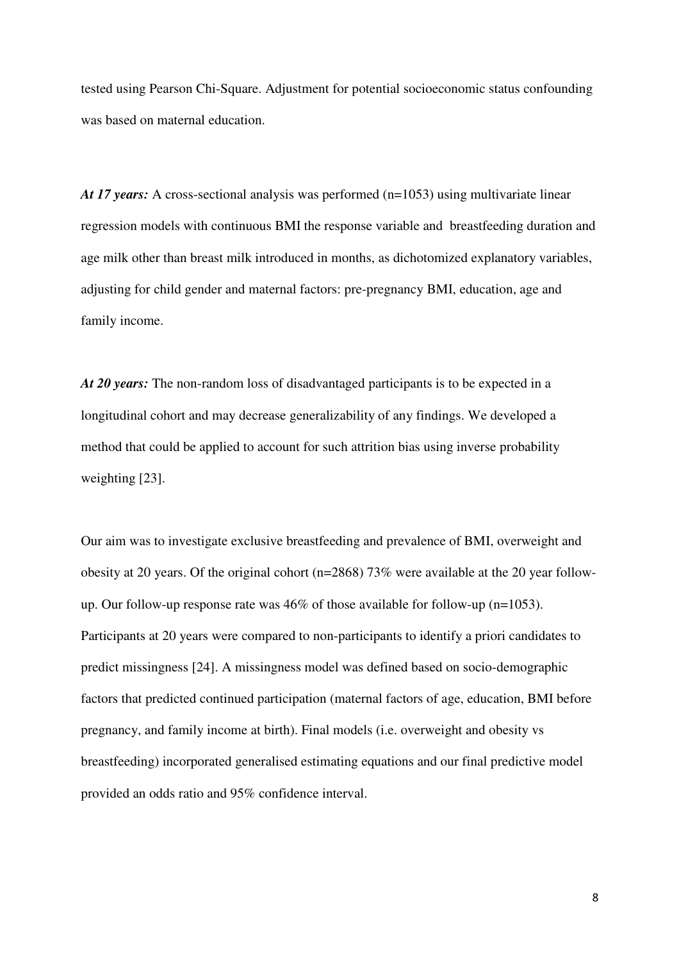tested using Pearson Chi-Square. Adjustment for potential socioeconomic status confounding was based on maternal education.

*At 17 years:* A cross-sectional analysis was performed (n=1053) using multivariate linear regression models with continuous BMI the response variable and breastfeeding duration and age milk other than breast milk introduced in months, as dichotomized explanatory variables, adjusting for child gender and maternal factors: pre-pregnancy BMI, education, age and family income.

*At 20 years:* The non-random loss of disadvantaged participants is to be expected in a longitudinal cohort and may decrease generalizability of any findings. We developed a method that could be applied to account for such attrition bias using inverse probability weighting [23].

Our aim was to investigate exclusive breastfeeding and prevalence of BMI, overweight and obesity at 20 years. Of the original cohort (n=2868) 73% were available at the 20 year followup. Our follow-up response rate was 46% of those available for follow-up (n=1053). Participants at 20 years were compared to non-participants to identify a priori candidates to predict missingness [24]. A missingness model was defined based on socio-demographic factors that predicted continued participation (maternal factors of age, education, BMI before pregnancy, and family income at birth). Final models (i.e. overweight and obesity vs breastfeeding) incorporated generalised estimating equations and our final predictive model provided an odds ratio and 95% confidence interval.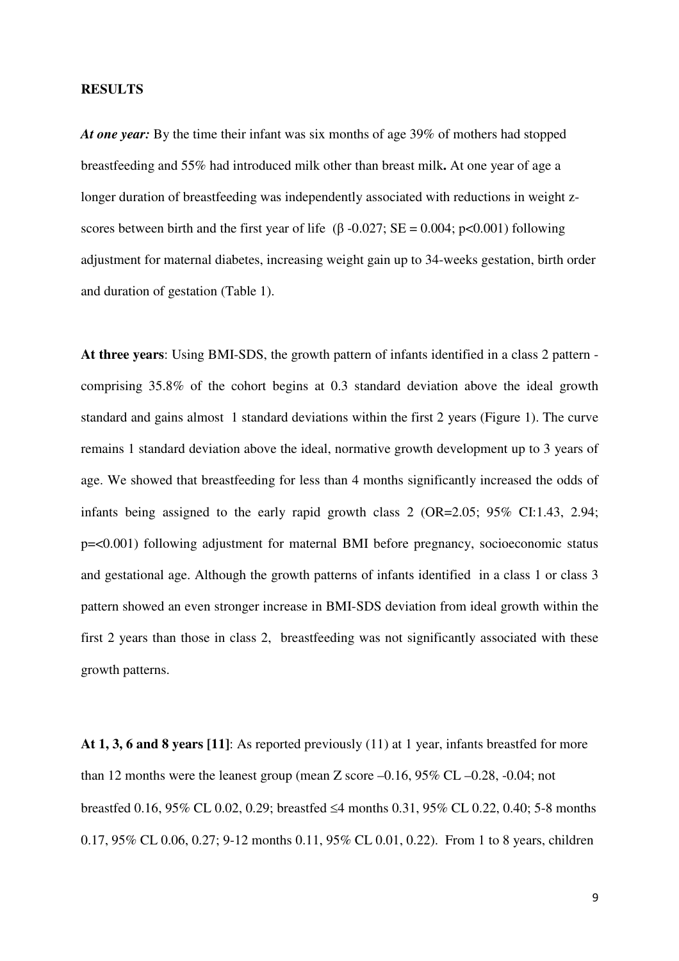#### **RESULTS**

*At one year:* By the time their infant was six months of age 39% of mothers had stopped breastfeeding and 55% had introduced milk other than breast milk**.** At one year of age a longer duration of breastfeeding was independently associated with reductions in weight zscores between birth and the first year of life ( $\beta$  -0.027; SE = 0.004; p<0.001) following adjustment for maternal diabetes, increasing weight gain up to 34-weeks gestation, birth order and duration of gestation (Table 1).

**At three years**: Using BMI-SDS, the growth pattern of infants identified in a class 2 pattern comprising 35.8% of the cohort begins at 0.3 standard deviation above the ideal growth standard and gains almost 1 standard deviations within the first 2 years (Figure 1). The curve remains 1 standard deviation above the ideal, normative growth development up to 3 years of age. We showed that breastfeeding for less than 4 months significantly increased the odds of infants being assigned to the early rapid growth class 2 (OR=2.05; 95% CI:1.43, 2.94; p=<0.001) following adjustment for maternal BMI before pregnancy, socioeconomic status and gestational age. Although the growth patterns of infants identified in a class 1 or class 3 pattern showed an even stronger increase in BMI-SDS deviation from ideal growth within the first 2 years than those in class 2, breastfeeding was not significantly associated with these growth patterns.

**At 1, 3, 6 and 8 years [11]**: As reported previously (11) at 1 year, infants breastfed for more than 12 months were the leanest group (mean Z score –0.16, 95% CL –0.28, -0.04; not breastfed 0.16, 95% CL 0.02, 0.29; breastfed ≤4 months 0.31, 95% CL 0.22, 0.40; 5-8 months 0.17, 95% CL 0.06, 0.27; 9-12 months 0.11, 95% CL 0.01, 0.22). From 1 to 8 years, children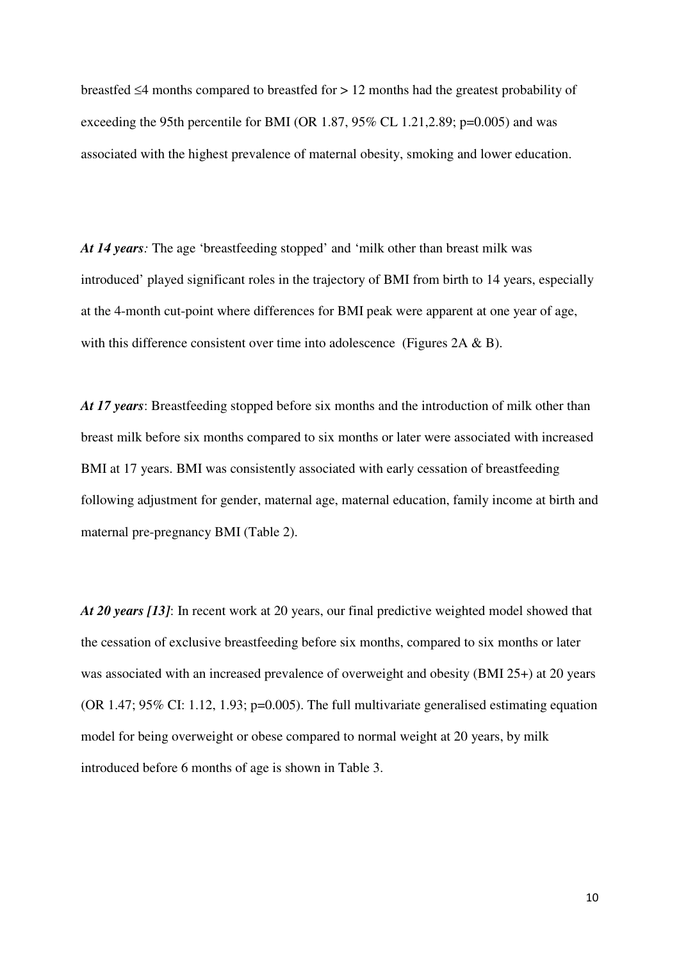breastfed ≤4 months compared to breastfed for > 12 months had the greatest probability of exceeding the 95th percentile for BMI (OR 1.87,  $95\%$  CL 1.21,2.89; p=0.005) and was associated with the highest prevalence of maternal obesity, smoking and lower education.

*At 14 years:* The age 'breastfeeding stopped' and 'milk other than breast milk was introduced' played significant roles in the trajectory of BMI from birth to 14 years, especially at the 4-month cut-point where differences for BMI peak were apparent at one year of age, with this difference consistent over time into adolescence (Figures 2A & B).

*At 17 years*: Breastfeeding stopped before six months and the introduction of milk other than breast milk before six months compared to six months or later were associated with increased BMI at 17 years. BMI was consistently associated with early cessation of breastfeeding following adjustment for gender, maternal age, maternal education, family income at birth and maternal pre-pregnancy BMI (Table 2).

*At 20 years [13]*: In recent work at 20 years, our final predictive weighted model showed that the cessation of exclusive breastfeeding before six months, compared to six months or later was associated with an increased prevalence of overweight and obesity (BMI 25+) at 20 years (OR 1.47; 95% CI: 1.12, 1.93; p=0.005). The full multivariate generalised estimating equation model for being overweight or obese compared to normal weight at 20 years, by milk introduced before 6 months of age is shown in Table 3.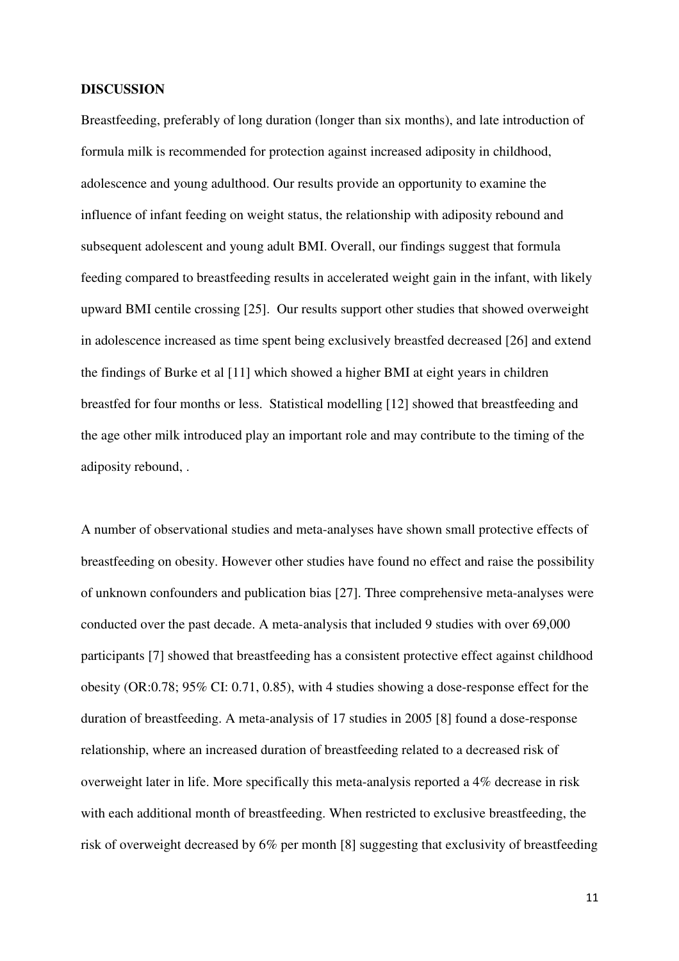#### **DISCUSSION**

Breastfeeding, preferably of long duration (longer than six months), and late introduction of formula milk is recommended for protection against increased adiposity in childhood, adolescence and young adulthood. Our results provide an opportunity to examine the influence of infant feeding on weight status, the relationship with adiposity rebound and subsequent adolescent and young adult BMI. Overall, our findings suggest that formula feeding compared to breastfeeding results in accelerated weight gain in the infant, with likely upward BMI centile crossing [25]. Our results support other studies that showed overweight in adolescence increased as time spent being exclusively breastfed decreased [26] and extend the findings of Burke et al [11] which showed a higher BMI at eight years in children breastfed for four months or less. Statistical modelling [12] showed that breastfeeding and the age other milk introduced play an important role and may contribute to the timing of the adiposity rebound, .

A number of observational studies and meta-analyses have shown small protective effects of breastfeeding on obesity. However other studies have found no effect and raise the possibility of unknown confounders and publication bias [27]. Three comprehensive meta-analyses were conducted over the past decade. A meta-analysis that included 9 studies with over 69,000 participants [7] showed that breastfeeding has a consistent protective effect against childhood obesity (OR:0.78; 95% CI: 0.71, 0.85), with 4 studies showing a dose-response effect for the duration of breastfeeding. A meta-analysis of 17 studies in 2005 [8] found a dose-response relationship, where an increased duration of breastfeeding related to a decreased risk of overweight later in life. More specifically this meta-analysis reported a 4% decrease in risk with each additional month of breastfeeding. When restricted to exclusive breastfeeding, the risk of overweight decreased by 6% per month [8] suggesting that exclusivity of breastfeeding

11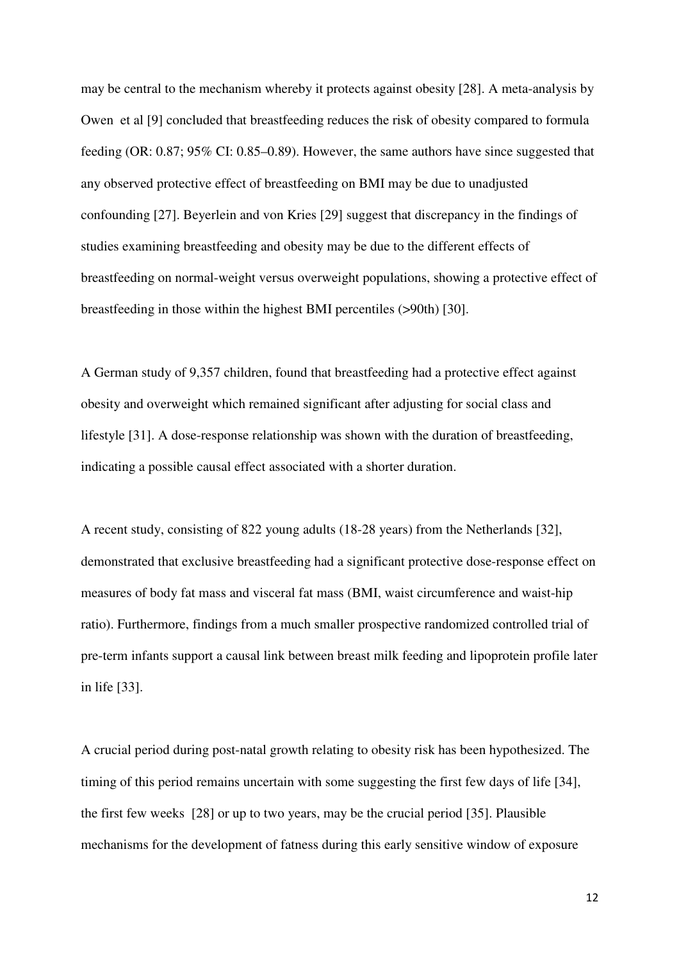may be central to the mechanism whereby it protects against obesity [28]. A meta-analysis by Owen et al [9] concluded that breastfeeding reduces the risk of obesity compared to formula feeding (OR: 0.87; 95% CI: 0.85–0.89). However, the same authors have since suggested that any observed protective effect of breastfeeding on BMI may be due to unadjusted confounding [27]. Beyerlein and von Kries [29] suggest that discrepancy in the findings of studies examining breastfeeding and obesity may be due to the different effects of breastfeeding on normal-weight versus overweight populations, showing a protective effect of breastfeeding in those within the highest BMI percentiles (>90th) [30].

A German study of 9,357 children, found that breastfeeding had a protective effect against obesity and overweight which remained significant after adjusting for social class and lifestyle [31]. A dose-response relationship was shown with the duration of breastfeeding, indicating a possible causal effect associated with a shorter duration.

A recent study, consisting of 822 young adults (18-28 years) from the Netherlands [32], demonstrated that exclusive breastfeeding had a significant protective dose-response effect on measures of body fat mass and visceral fat mass (BMI, waist circumference and waist-hip ratio). Furthermore, findings from a much smaller prospective randomized controlled trial of pre-term infants support a causal link between breast milk feeding and lipoprotein profile later in life [33].

A crucial period during post-natal growth relating to obesity risk has been hypothesized. The timing of this period remains uncertain with some suggesting the first few days of life [34], the first few weeks [28] or up to two years, may be the crucial period [35]. Plausible mechanisms for the development of fatness during this early sensitive window of exposure

12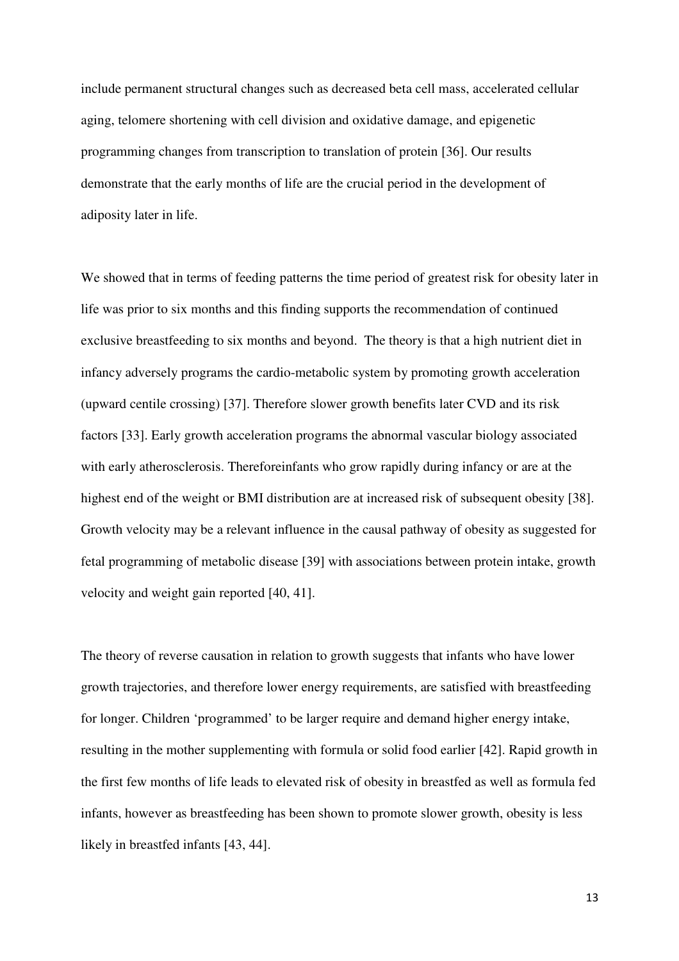include permanent structural changes such as decreased beta cell mass, accelerated cellular aging, telomere shortening with cell division and oxidative damage, and epigenetic programming changes from transcription to translation of protein [36]. Our results demonstrate that the early months of life are the crucial period in the development of adiposity later in life.

We showed that in terms of feeding patterns the time period of greatest risk for obesity later in life was prior to six months and this finding supports the recommendation of continued exclusive breastfeeding to six months and beyond. The theory is that a high nutrient diet in infancy adversely programs the cardio-metabolic system by promoting growth acceleration (upward centile crossing) [37]. Therefore slower growth benefits later CVD and its risk factors [33]. Early growth acceleration programs the abnormal vascular biology associated with early atherosclerosis. Thereforeinfants who grow rapidly during infancy or are at the highest end of the weight or BMI distribution are at increased risk of subsequent obesity [38]. Growth velocity may be a relevant influence in the causal pathway of obesity as suggested for fetal programming of metabolic disease [39] with associations between protein intake, growth velocity and weight gain reported [40, 41].

The theory of reverse causation in relation to growth suggests that infants who have lower growth trajectories, and therefore lower energy requirements, are satisfied with breastfeeding for longer. Children 'programmed' to be larger require and demand higher energy intake, resulting in the mother supplementing with formula or solid food earlier [42]. Rapid growth in the first few months of life leads to elevated risk of obesity in breastfed as well as formula fed infants, however as breastfeeding has been shown to promote slower growth, obesity is less likely in breastfed infants [43, 44].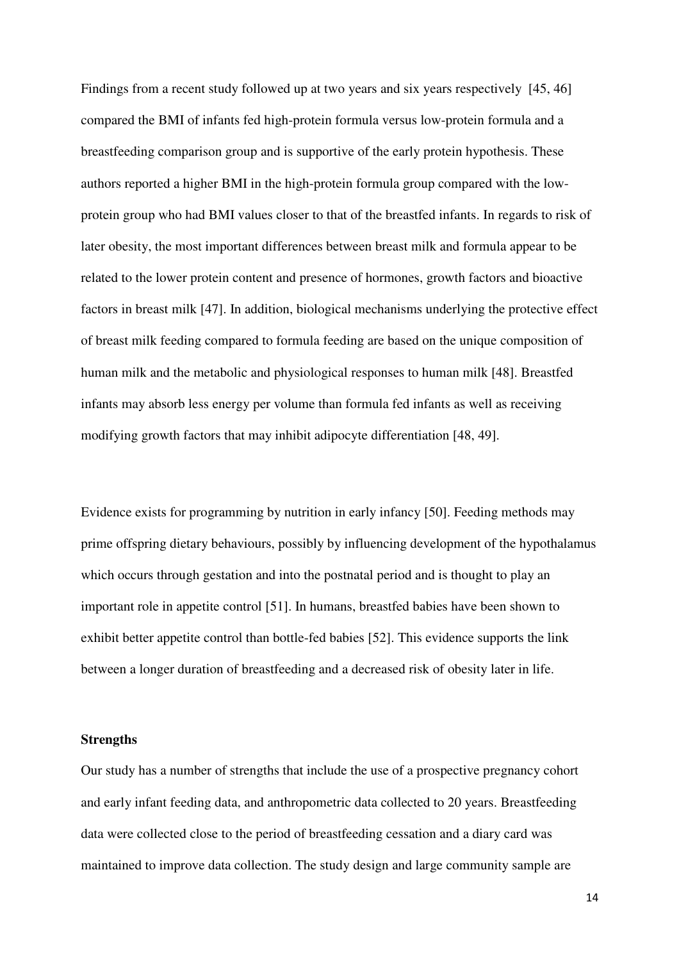Findings from a recent study followed up at two years and six years respectively [45, 46] compared the BMI of infants fed high-protein formula versus low-protein formula and a breastfeeding comparison group and is supportive of the early protein hypothesis. These authors reported a higher BMI in the high-protein formula group compared with the lowprotein group who had BMI values closer to that of the breastfed infants. In regards to risk of later obesity, the most important differences between breast milk and formula appear to be related to the lower protein content and presence of hormones, growth factors and bioactive factors in breast milk [47]. In addition, biological mechanisms underlying the protective effect of breast milk feeding compared to formula feeding are based on the unique composition of human milk and the metabolic and physiological responses to human milk [48]. Breastfed infants may absorb less energy per volume than formula fed infants as well as receiving modifying growth factors that may inhibit adipocyte differentiation [48, 49].

Evidence exists for programming by nutrition in early infancy [50]. Feeding methods may prime offspring dietary behaviours, possibly by influencing development of the hypothalamus which occurs through gestation and into the postnatal period and is thought to play an important role in appetite control [51]. In humans, breastfed babies have been shown to exhibit better appetite control than bottle-fed babies [52]. This evidence supports the link between a longer duration of breastfeeding and a decreased risk of obesity later in life.

#### **Strengths**

Our study has a number of strengths that include the use of a prospective pregnancy cohort and early infant feeding data, and anthropometric data collected to 20 years. Breastfeeding data were collected close to the period of breastfeeding cessation and a diary card was maintained to improve data collection. The study design and large community sample are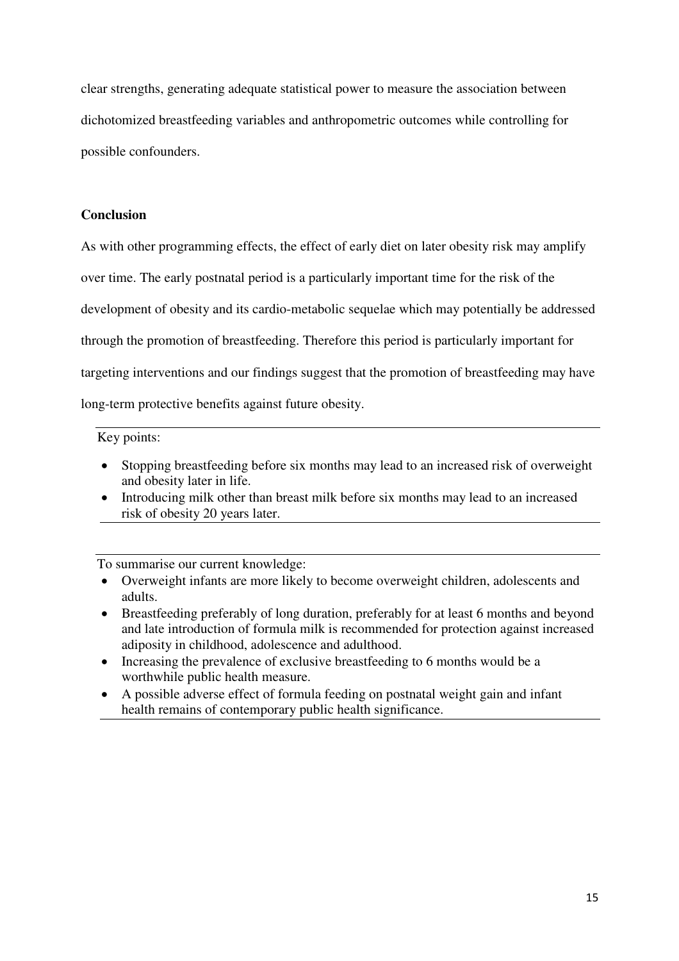clear strengths, generating adequate statistical power to measure the association between dichotomized breastfeeding variables and anthropometric outcomes while controlling for possible confounders.

#### **Conclusion**

As with other programming effects, the effect of early diet on later obesity risk may amplify over time. The early postnatal period is a particularly important time for the risk of the development of obesity and its cardio-metabolic sequelae which may potentially be addressed through the promotion of breastfeeding. Therefore this period is particularly important for targeting interventions and our findings suggest that the promotion of breastfeeding may have long-term protective benefits against future obesity.

### Key points:

- Stopping breastfeeding before six months may lead to an increased risk of overweight and obesity later in life.
- Introducing milk other than breast milk before six months may lead to an increased risk of obesity 20 years later.

To summarise our current knowledge:

- Overweight infants are more likely to become overweight children, adolescents and adults.
- Breastfeeding preferably of long duration, preferably for at least 6 months and beyond and late introduction of formula milk is recommended for protection against increased adiposity in childhood, adolescence and adulthood.
- Increasing the prevalence of exclusive breastfeeding to 6 months would be a worthwhile public health measure.
- A possible adverse effect of formula feeding on postnatal weight gain and infant health remains of contemporary public health significance.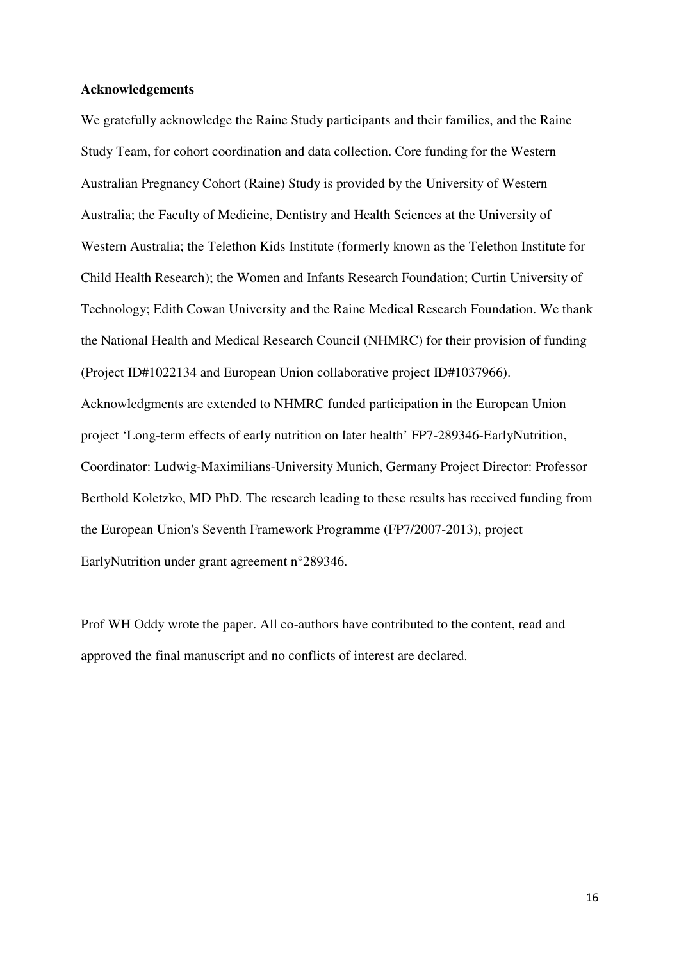#### **Acknowledgements**

We gratefully acknowledge the Raine Study participants and their families, and the Raine Study Team, for cohort coordination and data collection. Core funding for the Western Australian Pregnancy Cohort (Raine) Study is provided by the University of Western Australia; the Faculty of Medicine, Dentistry and Health Sciences at the University of Western Australia; the Telethon Kids Institute (formerly known as the Telethon Institute for Child Health Research); the Women and Infants Research Foundation; Curtin University of Technology; Edith Cowan University and the Raine Medical Research Foundation. We thank the National Health and Medical Research Council (NHMRC) for their provision of funding (Project ID#1022134 and European Union collaborative project ID#1037966). Acknowledgments are extended to NHMRC funded participation in the European Union project 'Long-term effects of early nutrition on later health' FP7-289346-EarlyNutrition, Coordinator: Ludwig-Maximilians-University Munich, Germany Project Director: Professor Berthold Koletzko, MD PhD. The research leading to these results has received funding from the European Union's Seventh Framework Programme (FP7/2007-2013), project EarlyNutrition under grant agreement n°289346.

Prof WH Oddy wrote the paper. All co-authors have contributed to the content, read and approved the final manuscript and no conflicts of interest are declared.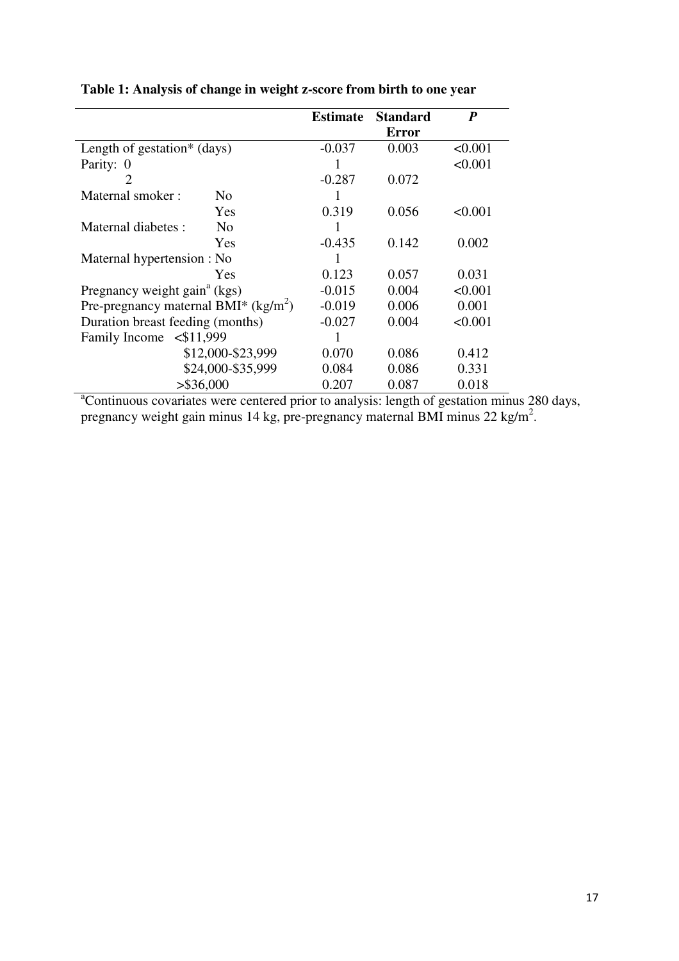|                                          | <b>Estimate</b> | <b>Standard</b> | P       |
|------------------------------------------|-----------------|-----------------|---------|
|                                          |                 | Error           |         |
| Length of gestation <sup>*</sup> (days)  | $-0.037$        | 0.003           | < 0.001 |
| Parity: 0                                |                 |                 | < 0.001 |
| 2                                        | $-0.287$        | 0.072           |         |
| Maternal smoker:<br>N <sub>0</sub>       |                 |                 |         |
| Yes                                      | 0.319           | 0.056           | < 0.001 |
| Maternal diabetes :<br>N <sub>0</sub>    |                 |                 |         |
| Yes                                      | $-0.435$        | 0.142           | 0.002   |
| Maternal hypertension : No               | 1               |                 |         |
| Yes                                      | 0.123           | 0.057           | 0.031   |
| Pregnancy weight gain <sup>a</sup> (kgs) | $-0.015$        | 0.004           | < 0.001 |
| Pre-pregnancy maternal BMI* $(kg/m^2)$   | $-0.019$        | 0.006           | 0.001   |
| Duration breast feeding (months)         | $-0.027$        | 0.004           | < 0.001 |
| Family Income <\$11,999                  |                 |                 |         |
| \$12,000-\$23,999                        | 0.070           | 0.086           | 0.412   |
| \$24,000-\$35,999                        | 0.084           | 0.086           | 0.331   |
| $>$ \$36,000                             | 0.207           | 0.087           | 0.018   |

**Table 1: Analysis of change in weight z-score from birth to one year** 

<sup>a</sup>Continuous covariates were centered prior to analysis: length of gestation minus 280 days, pregnancy weight gain minus 14 kg, pre-pregnancy maternal BMI minus  $22 \text{ kg/m}^2$ .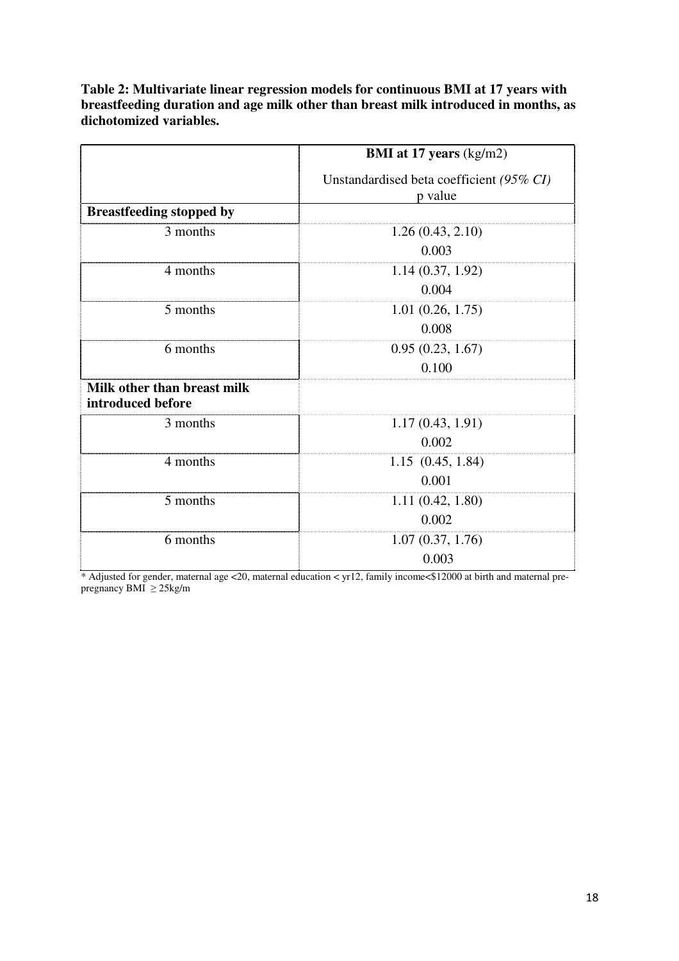**Table 2: Multivariate linear regression models for continuous BMI at 17 years with breastfeeding duration and age milk other than breast milk introduced in months, as dichotomized variables.** 

|                                                  | BMI at 17 years (kg/m2)                             |  |
|--------------------------------------------------|-----------------------------------------------------|--|
|                                                  | Unstandardised beta coefficient (95% CI)<br>p value |  |
| <b>Breastfeeding stopped by</b>                  |                                                     |  |
| 3 months                                         | 1.26(0.43, 2.10)                                    |  |
|                                                  | 0.003                                               |  |
| 4 months                                         | 1.14(0.37, 1.92)                                    |  |
|                                                  | 0.004                                               |  |
| 5 months                                         | 1.01(0.26, 1.75)                                    |  |
|                                                  | 0.008                                               |  |
| 6 months                                         | 0.95(0.23, 1.67)                                    |  |
|                                                  | 0.100                                               |  |
| Milk other than breast milk<br>introduced before |                                                     |  |
| 3 months                                         | 1.17(0.43, 1.91)                                    |  |
|                                                  | 0.002                                               |  |
| 4 months                                         | 1.15(0.45, 1.84)                                    |  |
|                                                  | 0.001                                               |  |
| 5 months                                         | 1.11(0.42, 1.80)                                    |  |
|                                                  | 0.002                                               |  |
| 6 months                                         | 1.07(0.37, 1.76)                                    |  |
|                                                  | 0.003                                               |  |

\* Adjusted for gender, maternal age <20, maternal education < yr12, family income<\$12000 at birth and maternal prepregnancy BMI ≥ 25kg/m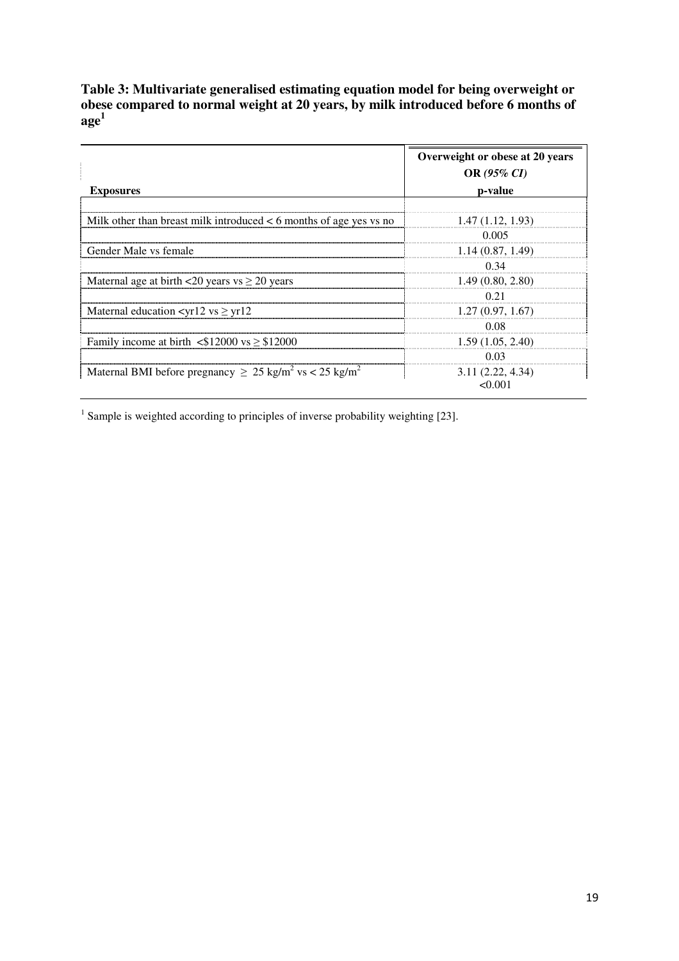**Table 3: Multivariate generalised estimating equation model for being overweight or obese compared to normal weight at 20 years, by milk introduced before 6 months of**   $\mathbf{age^1}$ 

|                                                                                     | Overweight or obese at 20 years<br><b>OR</b> (95% CI) |
|-------------------------------------------------------------------------------------|-------------------------------------------------------|
| <b>Exposures</b>                                                                    | p-value                                               |
|                                                                                     |                                                       |
| Milk other than breast milk introduced $< 6$ months of age yes vs no                | 1.47(1.12, 1.93)                                      |
|                                                                                     | 0.005                                                 |
| Gender Male vs female                                                               | 1.14(0.87, 1.49)                                      |
|                                                                                     | 0.34                                                  |
| Maternal age at birth $\leq 20$ years vs $\geq 20$ years                            | 1.49(0.80, 2.80)                                      |
|                                                                                     | O 21                                                  |
| Maternal education $\langle \text{yr12 vs} \geq \text{yr12} \rangle$                | 1.27(0.97, 1.67)                                      |
|                                                                                     | 0.08                                                  |
| Family income at birth $\langle$ \$12000 vs $\ge$ \$12000                           | 1.59(1.05, 2.40)                                      |
|                                                                                     | 0.03                                                  |
| Maternal BMI before pregnancy $\geq 25$ kg/m <sup>2</sup> vs < 25 kg/m <sup>2</sup> | 3.11(2.22, 4.34)                                      |
|                                                                                     | <0.001                                                |

<sup>1</sup> Sample is weighted according to principles of inverse probability weighting [23].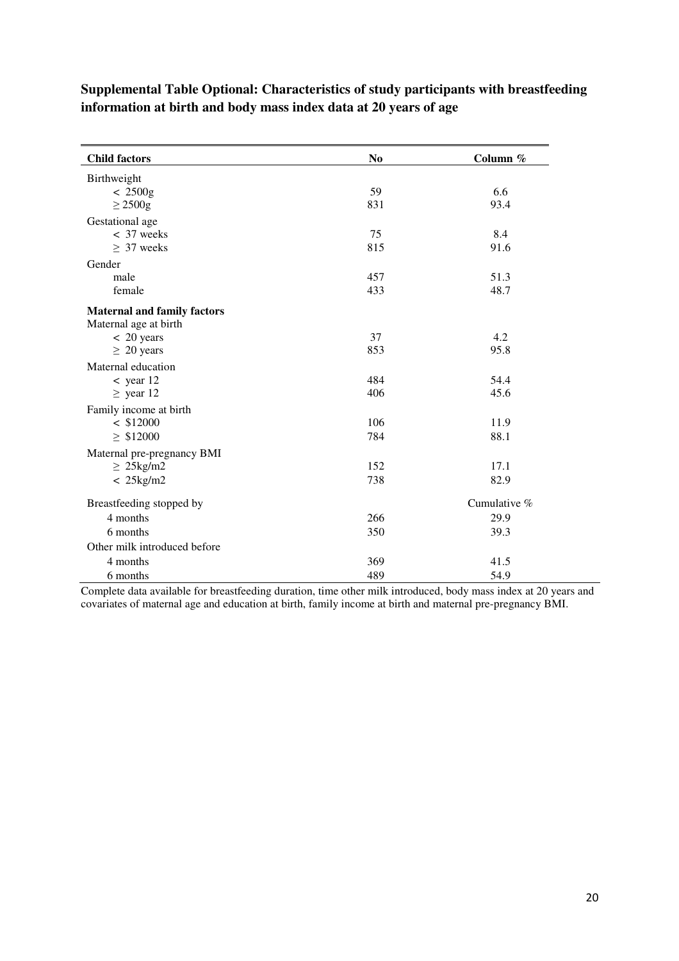| Supplemental Table Optional: Characteristics of study participants with breastfeeding |
|---------------------------------------------------------------------------------------|
| information at birth and body mass index data at 20 years of age                      |

| <b>Child factors</b>               | N <sub>0</sub> | Column $%$   |
|------------------------------------|----------------|--------------|
| Birthweight                        |                |              |
| $< 2500$ g                         | 59             | 6.6          |
| $\geq$ 2500g                       | 831            | 93.4         |
| Gestational age                    |                |              |
| $<$ 37 weeks                       | 75             | 8.4          |
| $\geq 37$ weeks                    | 815            | 91.6         |
| Gender                             |                |              |
| male                               | 457            | 51.3         |
| female                             | 433            | 48.7         |
| <b>Maternal and family factors</b> |                |              |
| Maternal age at birth              |                |              |
| $< 20$ years                       | 37             | 4.2          |
| $\geq 20$ years                    | 853            | 95.8         |
| Maternal education                 |                |              |
| $<$ year 12                        | 484            | 54.4         |
| $\ge$ year 12                      | 406            | 45.6         |
| Family income at birth             |                |              |
| $<$ \$12000                        | 106            | 11.9         |
| $\geq$ \$12000                     | 784            | 88.1         |
| Maternal pre-pregnancy BMI         |                |              |
| $\geq 25$ kg/m2                    | 152            | 17.1         |
| $< 25$ kg/m2                       | 738            | 82.9         |
| Breastfeeding stopped by           |                | Cumulative % |
| 4 months                           | 266            | 29.9         |
| 6 months                           | 350            | 39.3         |
| Other milk introduced before       |                |              |
| 4 months                           | 369            | 41.5         |
| 6 months                           | 489            | 54.9         |

Complete data available for breastfeeding duration, time other milk introduced, body mass index at 20 years and covariates of maternal age and education at birth, family income at birth and maternal pre-pregnancy BMI.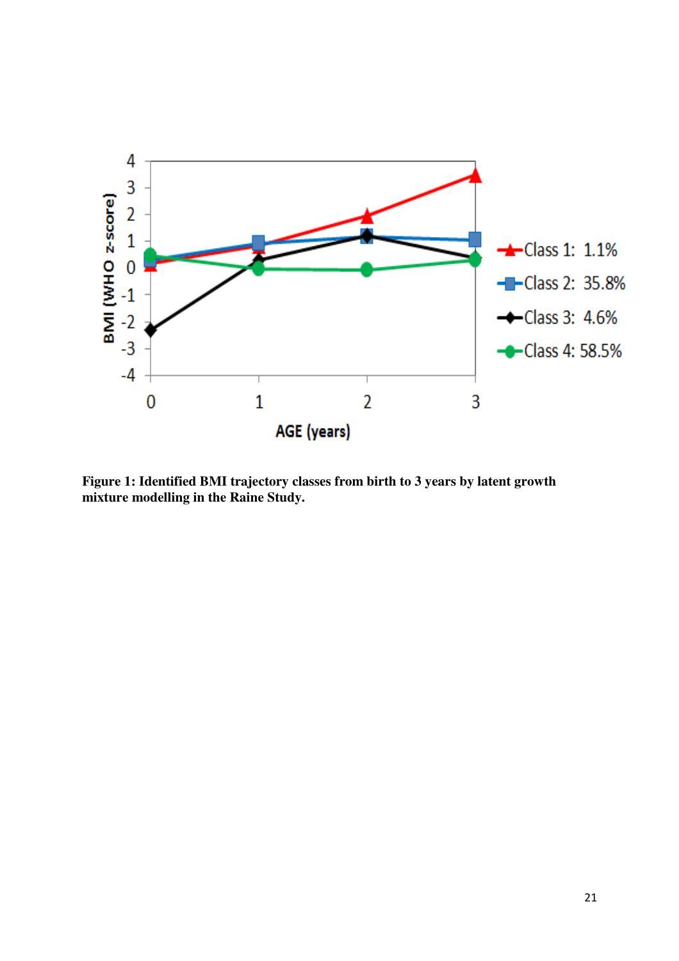

**Figure 1: Identified BMI trajectory classes from birth to 3 years by latent growth mixture modelling in the Raine Study.**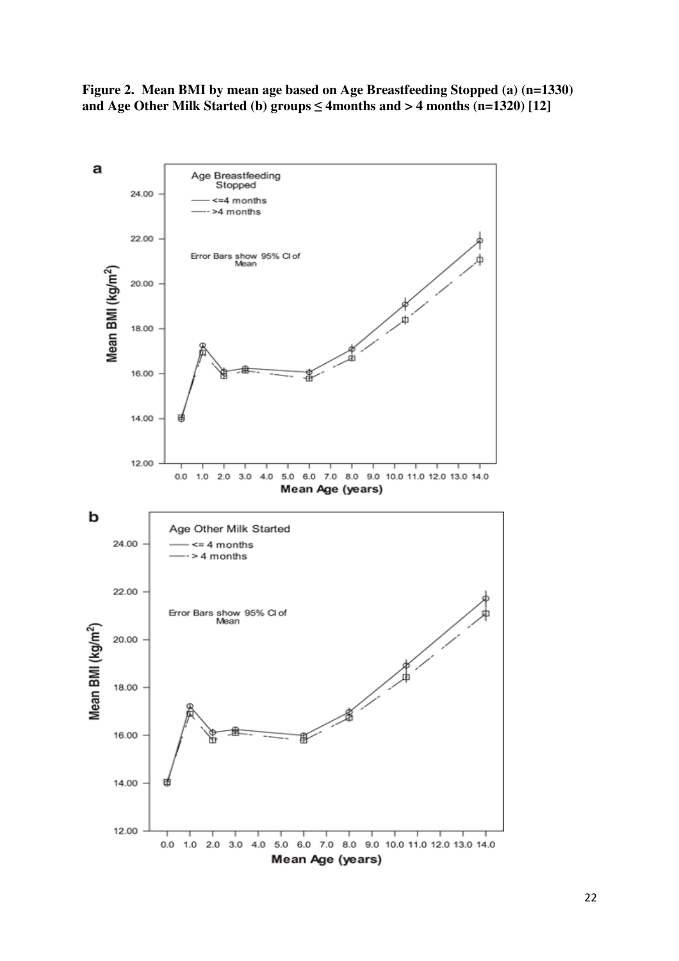**Figure 2. Mean BMI by mean age based on Age Breastfeeding Stopped (a) (n=1330)**  and Age Other Milk Started (b) groups  $\leq$  4months and  $>$  4 months (n=1320) [12]

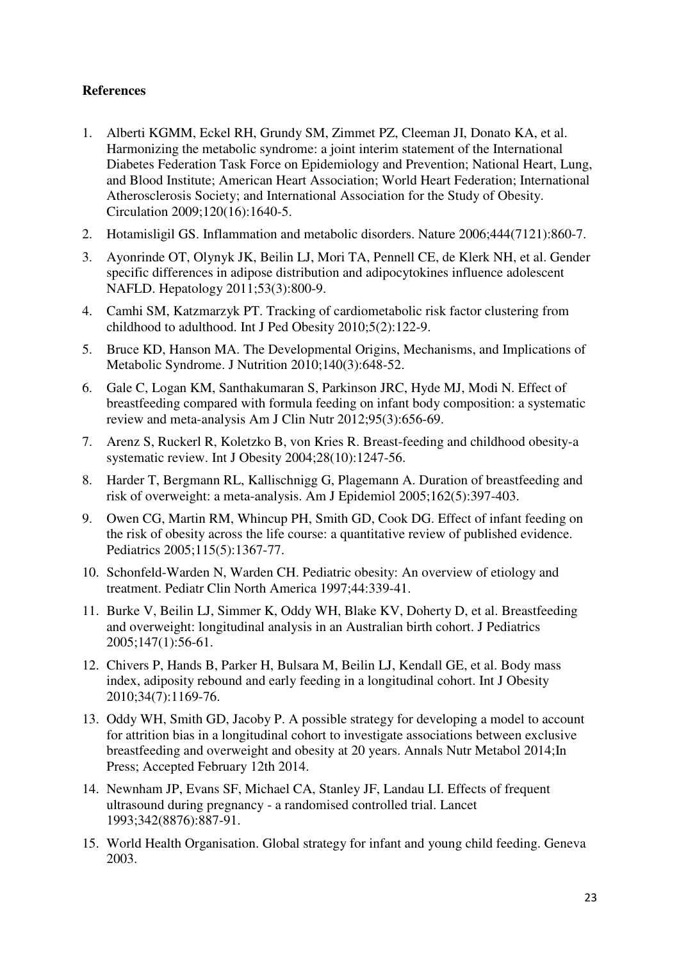## **References**

- 1. Alberti KGMM, Eckel RH, Grundy SM, Zimmet PZ, Cleeman JI, Donato KA, et al. Harmonizing the metabolic syndrome: a joint interim statement of the International Diabetes Federation Task Force on Epidemiology and Prevention; National Heart, Lung, and Blood Institute; American Heart Association; World Heart Federation; International Atherosclerosis Society; and International Association for the Study of Obesity. Circulation 2009;120(16):1640-5.
- 2. Hotamisligil GS. Inflammation and metabolic disorders. Nature 2006;444(7121):860-7.
- 3. Ayonrinde OT, Olynyk JK, Beilin LJ, Mori TA, Pennell CE, de Klerk NH, et al. Gender specific differences in adipose distribution and adipocytokines influence adolescent NAFLD. Hepatology 2011;53(3):800-9.
- 4. Camhi SM, Katzmarzyk PT. Tracking of cardiometabolic risk factor clustering from childhood to adulthood. Int J Ped Obesity 2010;5(2):122-9.
- 5. Bruce KD, Hanson MA. The Developmental Origins, Mechanisms, and Implications of Metabolic Syndrome. J Nutrition 2010;140(3):648-52.
- 6. Gale C, Logan KM, Santhakumaran S, Parkinson JRC, Hyde MJ, Modi N. Effect of breastfeeding compared with formula feeding on infant body composition: a systematic review and meta-analysis Am J Clin Nutr 2012;95(3):656-69.
- 7. Arenz S, Ruckerl R, Koletzko B, von Kries R. Breast-feeding and childhood obesity-a systematic review. Int J Obesity 2004;28(10):1247-56.
- 8. Harder T, Bergmann RL, Kallischnigg G, Plagemann A. Duration of breastfeeding and risk of overweight: a meta-analysis. Am J Epidemiol 2005;162(5):397-403.
- 9. Owen CG, Martin RM, Whincup PH, Smith GD, Cook DG. Effect of infant feeding on the risk of obesity across the life course: a quantitative review of published evidence. Pediatrics 2005;115(5):1367-77.
- 10. Schonfeld-Warden N, Warden CH. Pediatric obesity: An overview of etiology and treatment. Pediatr Clin North America 1997;44:339-41.
- 11. Burke V, Beilin LJ, Simmer K, Oddy WH, Blake KV, Doherty D, et al. Breastfeeding and overweight: longitudinal analysis in an Australian birth cohort. J Pediatrics 2005;147(1):56-61.
- 12. Chivers P, Hands B, Parker H, Bulsara M, Beilin LJ, Kendall GE, et al. Body mass index, adiposity rebound and early feeding in a longitudinal cohort. Int J Obesity 2010;34(7):1169-76.
- 13. Oddy WH, Smith GD, Jacoby P. A possible strategy for developing a model to account for attrition bias in a longitudinal cohort to investigate associations between exclusive breastfeeding and overweight and obesity at 20 years. Annals Nutr Metabol 2014;In Press; Accepted February 12th 2014.
- 14. Newnham JP, Evans SF, Michael CA, Stanley JF, Landau LI. Effects of frequent ultrasound during pregnancy - a randomised controlled trial. Lancet 1993;342(8876):887-91.
- 15. World Health Organisation. Global strategy for infant and young child feeding. Geneva 2003.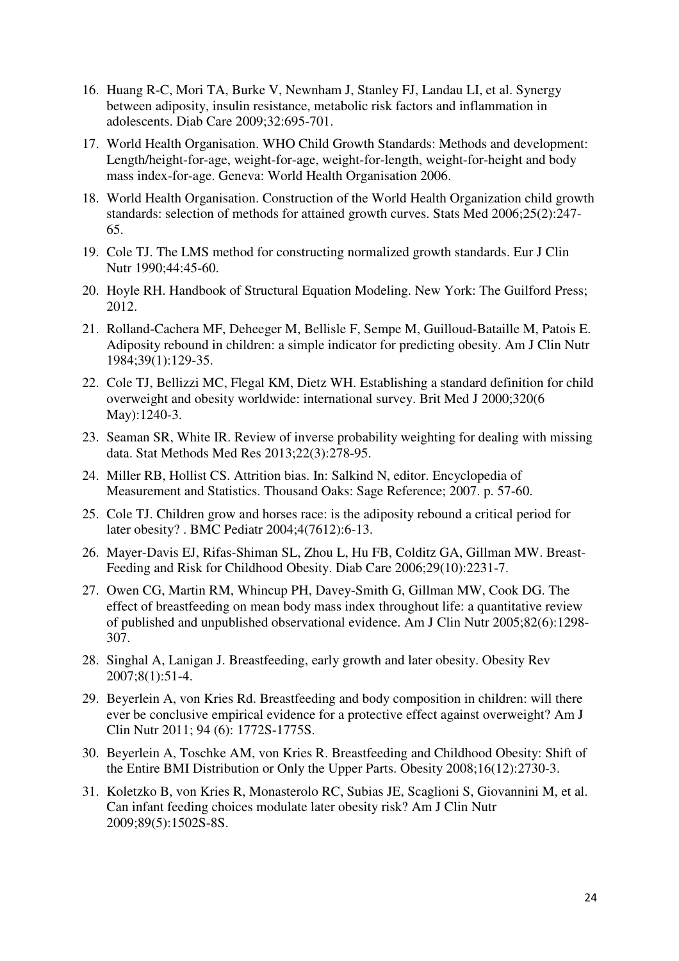- 16. Huang R-C, Mori TA, Burke V, Newnham J, Stanley FJ, Landau LI, et al. Synergy between adiposity, insulin resistance, metabolic risk factors and inflammation in adolescents. Diab Care 2009;32:695-701.
- 17. World Health Organisation. WHO Child Growth Standards: Methods and development: Length/height-for-age, weight-for-age, weight-for-length, weight-for-height and body mass index-for-age. Geneva: World Health Organisation 2006.
- 18. World Health Organisation. Construction of the World Health Organization child growth standards: selection of methods for attained growth curves. Stats Med 2006;25(2):247- 65.
- 19. Cole TJ. The LMS method for constructing normalized growth standards. Eur J Clin Nutr 1990;44:45-60.
- 20. Hoyle RH. Handbook of Structural Equation Modeling. New York: The Guilford Press; 2012.
- 21. Rolland-Cachera MF, Deheeger M, Bellisle F, Sempe M, Guilloud-Bataille M, Patois E. Adiposity rebound in children: a simple indicator for predicting obesity. Am J Clin Nutr 1984;39(1):129-35.
- 22. Cole TJ, Bellizzi MC, Flegal KM, Dietz WH. Establishing a standard definition for child overweight and obesity worldwide: international survey. Brit Med J 2000;320(6 May):1240-3.
- 23. Seaman SR, White IR. Review of inverse probability weighting for dealing with missing data. Stat Methods Med Res 2013;22(3):278-95.
- 24. Miller RB, Hollist CS. Attrition bias. In: Salkind N, editor. Encyclopedia of Measurement and Statistics. Thousand Oaks: Sage Reference; 2007. p. 57-60.
- 25. Cole TJ. Children grow and horses race: is the adiposity rebound a critical period for later obesity? . BMC Pediatr 2004;4(7612):6-13.
- 26. Mayer-Davis EJ, Rifas-Shiman SL, Zhou L, Hu FB, Colditz GA, Gillman MW. Breast-Feeding and Risk for Childhood Obesity. Diab Care 2006;29(10):2231-7.
- 27. Owen CG, Martin RM, Whincup PH, Davey-Smith G, Gillman MW, Cook DG. The effect of breastfeeding on mean body mass index throughout life: a quantitative review of published and unpublished observational evidence. Am J Clin Nutr 2005;82(6):1298- 307.
- 28. Singhal A, Lanigan J. Breastfeeding, early growth and later obesity. Obesity Rev 2007;8(1):51-4.
- 29. Beyerlein A, von Kries Rd. Breastfeeding and body composition in children: will there ever be conclusive empirical evidence for a protective effect against overweight? Am J Clin Nutr 2011; 94 (6): 1772S-1775S.
- 30. Beyerlein A, Toschke AM, von Kries R. Breastfeeding and Childhood Obesity: Shift of the Entire BMI Distribution or Only the Upper Parts. Obesity 2008;16(12):2730-3.
- 31. Koletzko B, von Kries R, Monasterolo RC, Subias JE, Scaglioni S, Giovannini M, et al. Can infant feeding choices modulate later obesity risk? Am J Clin Nutr 2009;89(5):1502S-8S.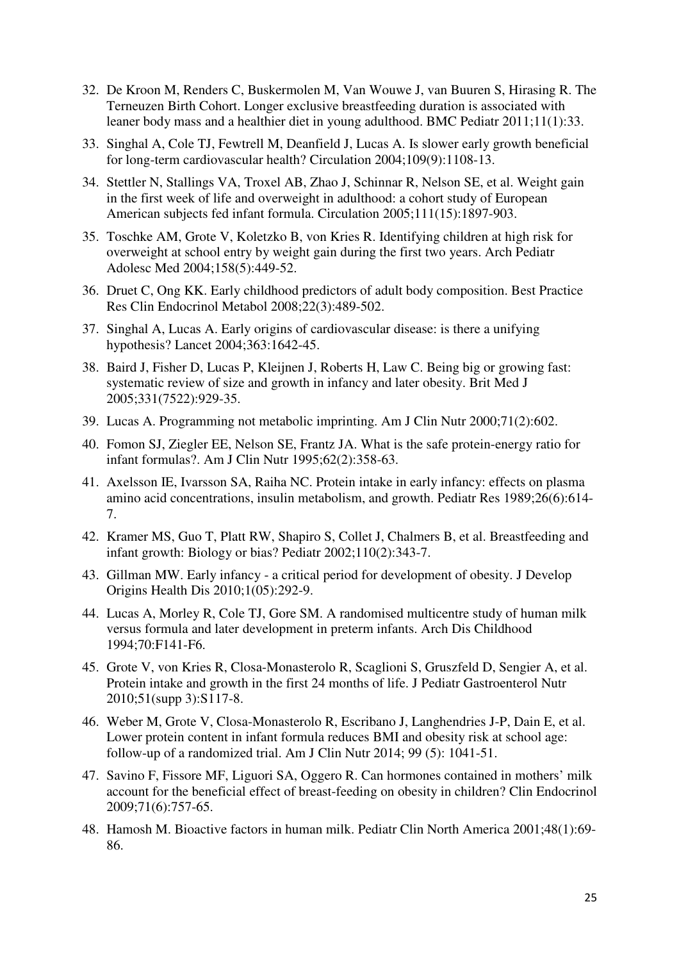- 32. De Kroon M, Renders C, Buskermolen M, Van Wouwe J, van Buuren S, Hirasing R. The Terneuzen Birth Cohort. Longer exclusive breastfeeding duration is associated with leaner body mass and a healthier diet in young adulthood. BMC Pediatr 2011;11(1):33.
- 33. Singhal A, Cole TJ, Fewtrell M, Deanfield J, Lucas A. Is slower early growth beneficial for long-term cardiovascular health? Circulation 2004;109(9):1108-13.
- 34. Stettler N, Stallings VA, Troxel AB, Zhao J, Schinnar R, Nelson SE, et al. Weight gain in the first week of life and overweight in adulthood: a cohort study of European American subjects fed infant formula. Circulation 2005;111(15):1897-903.
- 35. Toschke AM, Grote V, Koletzko B, von Kries R. Identifying children at high risk for overweight at school entry by weight gain during the first two years. Arch Pediatr Adolesc Med 2004;158(5):449-52.
- 36. Druet C, Ong KK. Early childhood predictors of adult body composition. Best Practice Res Clin Endocrinol Metabol 2008;22(3):489-502.
- 37. Singhal A, Lucas A. Early origins of cardiovascular disease: is there a unifying hypothesis? Lancet 2004;363:1642-45.
- 38. Baird J, Fisher D, Lucas P, Kleijnen J, Roberts H, Law C. Being big or growing fast: systematic review of size and growth in infancy and later obesity. Brit Med J 2005;331(7522):929-35.
- 39. Lucas A. Programming not metabolic imprinting. Am J Clin Nutr 2000;71(2):602.
- 40. Fomon SJ, Ziegler EE, Nelson SE, Frantz JA. What is the safe protein-energy ratio for infant formulas?. Am J Clin Nutr 1995;62(2):358-63.
- 41. Axelsson IE, Ivarsson SA, Raiha NC. Protein intake in early infancy: effects on plasma amino acid concentrations, insulin metabolism, and growth. Pediatr Res 1989;26(6):614- 7.
- 42. Kramer MS, Guo T, Platt RW, Shapiro S, Collet J, Chalmers B, et al. Breastfeeding and infant growth: Biology or bias? Pediatr 2002;110(2):343-7.
- 43. Gillman MW. Early infancy a critical period for development of obesity. J Develop Origins Health Dis 2010;1(05):292-9.
- 44. Lucas A, Morley R, Cole TJ, Gore SM. A randomised multicentre study of human milk versus formula and later development in preterm infants. Arch Dis Childhood 1994;70:F141-F6.
- 45. Grote V, von Kries R, Closa-Monasterolo R, Scaglioni S, Gruszfeld D, Sengier A, et al. Protein intake and growth in the first 24 months of life. J Pediatr Gastroenterol Nutr 2010;51(supp 3):S117-8.
- 46. Weber M, Grote V, Closa-Monasterolo R, Escribano J, Langhendries J-P, Dain E, et al. Lower protein content in infant formula reduces BMI and obesity risk at school age: follow-up of a randomized trial. Am J Clin Nutr 2014; 99 (5): 1041-51.
- 47. Savino F, Fissore MF, Liguori SA, Oggero R. Can hormones contained in mothers' milk account for the beneficial effect of breast-feeding on obesity in children? Clin Endocrinol 2009;71(6):757-65.
- 48. Hamosh M. Bioactive factors in human milk. Pediatr Clin North America 2001;48(1):69- 86.